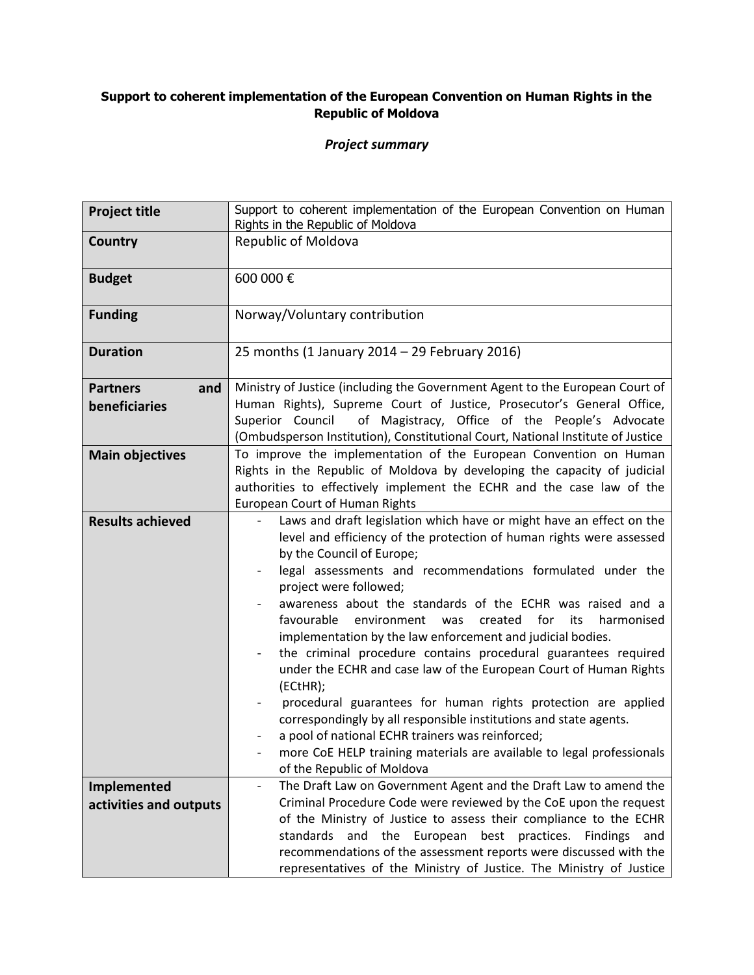## **Support to coherent implementation of the European Convention on Human Rights in the Republic of Moldova**

## *Project summary*

| <b>Project title</b>    | Support to coherent implementation of the European Convention on Human<br>Rights in the Republic of Moldova                                   |
|-------------------------|-----------------------------------------------------------------------------------------------------------------------------------------------|
| Country                 | Republic of Moldova                                                                                                                           |
| <b>Budget</b>           | 600 000€                                                                                                                                      |
| <b>Funding</b>          | Norway/Voluntary contribution                                                                                                                 |
| <b>Duration</b>         | 25 months (1 January 2014 - 29 February 2016)                                                                                                 |
| <b>Partners</b><br>and  | Ministry of Justice (including the Government Agent to the European Court of                                                                  |
| beneficiaries           | Human Rights), Supreme Court of Justice, Prosecutor's General Office,                                                                         |
|                         | Superior Council<br>of Magistracy, Office of the People's Advocate                                                                            |
|                         | (Ombudsperson Institution), Constitutional Court, National Institute of Justice                                                               |
| <b>Main objectives</b>  | To improve the implementation of the European Convention on Human<br>Rights in the Republic of Moldova by developing the capacity of judicial |
|                         | authorities to effectively implement the ECHR and the case law of the                                                                         |
|                         | <b>European Court of Human Rights</b>                                                                                                         |
| <b>Results achieved</b> | Laws and draft legislation which have or might have an effect on the                                                                          |
|                         | level and efficiency of the protection of human rights were assessed                                                                          |
|                         | by the Council of Europe;                                                                                                                     |
|                         | legal assessments and recommendations formulated under the                                                                                    |
|                         | project were followed;                                                                                                                        |
|                         | awareness about the standards of the ECHR was raised and a                                                                                    |
|                         | for<br>favourable<br>environment<br>created<br>its<br>was<br>harmonised                                                                       |
|                         | implementation by the law enforcement and judicial bodies.                                                                                    |
|                         | the criminal procedure contains procedural guarantees required<br>under the ECHR and case law of the European Court of Human Rights           |
|                         | (ECtHR);                                                                                                                                      |
|                         | procedural guarantees for human rights protection are applied                                                                                 |
|                         | correspondingly by all responsible institutions and state agents.                                                                             |
|                         | a pool of national ECHR trainers was reinforced;                                                                                              |
|                         | more CoE HELP training materials are available to legal professionals                                                                         |
|                         | of the Republic of Moldova                                                                                                                    |
| Implemented             | The Draft Law on Government Agent and the Draft Law to amend the<br>$\overline{\phantom{0}}$                                                  |
| activities and outputs  | Criminal Procedure Code were reviewed by the CoE upon the request                                                                             |
|                         | of the Ministry of Justice to assess their compliance to the ECHR                                                                             |
|                         | and the European best practices. Findings and<br>standards                                                                                    |
|                         | recommendations of the assessment reports were discussed with the                                                                             |
|                         | representatives of the Ministry of Justice. The Ministry of Justice                                                                           |